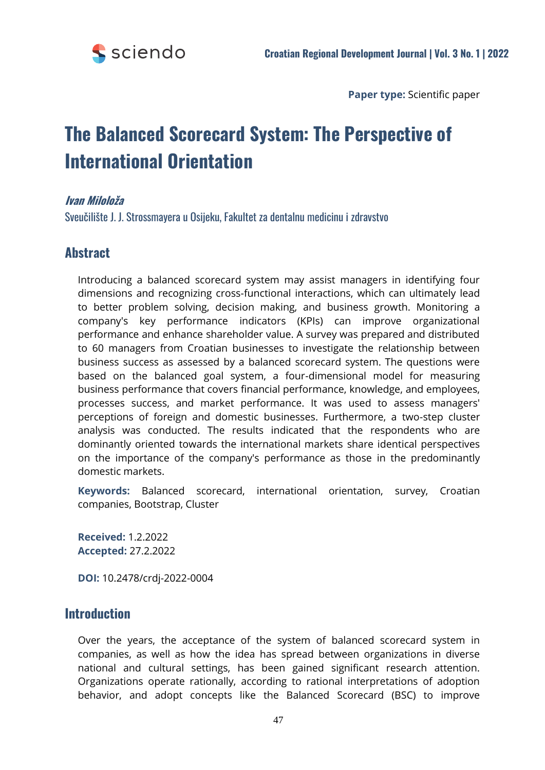

**Paper type:** Scientific paper

# **The Balanced Scorecard System: The Perspective of International Orientation**

# **Ivan Miloloža**

Sveučilište J. J. Strossmayera u Osijeku, Fakultet za dentalnu medicinu i zdravstvo

# **Abstract**

Introducing a balanced scorecard system may assist managers in identifying four dimensions and recognizing cross-functional interactions, which can ultimately lead to better problem solving, decision making, and business growth. Monitoring a company's key performance indicators (KPIs) can improve organizational performance and enhance shareholder value. A survey was prepared and distributed to 60 managers from Croatian businesses to investigate the relationship between business success as assessed by a balanced scorecard system. The questions were based on the balanced goal system, a four-dimensional model for measuring business performance that covers financial performance, knowledge, and employees, processes success, and market performance. It was used to assess managers' perceptions of foreign and domestic businesses. Furthermore, a two-step cluster analysis was conducted. The results indicated that the respondents who are dominantly oriented towards the international markets share identical perspectives on the importance of the company's performance as those in the predominantly domestic markets.

**Keywords:** Balanced scorecard, international orientation, survey, Croatian companies, Bootstrap, Cluster

**Received:** 1.2.2022 **Accepted:** 27.2.2022

**DOI:** 10.2478/crdj-2022-0004

# **Introduction**

Over the years, the acceptance of the system of balanced scorecard system in companies, as well as how the idea has spread between organizations in diverse national and cultural settings, has been gained significant research attention. Organizations operate rationally, according to rational interpretations of adoption behavior, and adopt concepts like the Balanced Scorecard (BSC) to improve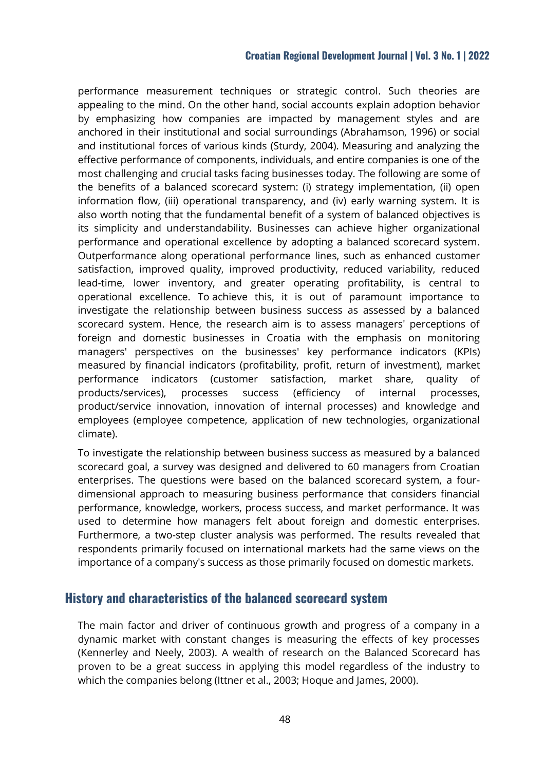## **Croatian Regional Development Journal | Vol. 3 No. 1 | 2022**

performance measurement techniques or strategic control. Such theories are appealing to the mind. On the other hand, social accounts explain adoption behavior by emphasizing how companies are impacted by management styles and are anchored in their institutional and social surroundings (Abrahamson, 1996) or social and institutional forces of various kinds (Sturdy, 2004). Measuring and analyzing the effective performance of components, individuals, and entire companies is one of the most challenging and crucial tasks facing businesses today. The following are some of the benefits of a balanced scorecard system: (i) strategy implementation, (ii) open information flow, (iii) operational transparency, and (iv) early warning system. It is also worth noting that the fundamental benefit of a system of balanced objectives is its simplicity and understandability. Businesses can achieve higher organizational performance and operational excellence by adopting a balanced scorecard system. Outperformance along operational performance lines, such as enhanced customer satisfaction, improved quality, improved productivity, reduced variability, reduced lead-time, lower inventory, and greater operating profitability, is central to operational excellence. To achieve this, it is out of paramount importance to investigate the relationship between business success as assessed by a balanced scorecard system. Hence, the research aim is to assess managers' perceptions of foreign and domestic businesses in Croatia with the emphasis on monitoring managers' perspectives on the businesses' key performance indicators (KPIs) measured by financial indicators (profitability, profit, return of investment), market performance indicators (customer satisfaction, market share, quality of products/services), processes success (efficiency of internal processes, product/service innovation, innovation of internal processes) and knowledge and employees (employee competence, application of new technologies, organizational climate).

To investigate the relationship between business success as measured by a balanced scorecard goal, a survey was designed and delivered to 60 managers from Croatian enterprises. The questions were based on the balanced scorecard system, a fourdimensional approach to measuring business performance that considers financial performance, knowledge, workers, process success, and market performance. It was used to determine how managers felt about foreign and domestic enterprises. Furthermore, a two-step cluster analysis was performed. The results revealed that respondents primarily focused on international markets had the same views on the importance of a company's success as those primarily focused on domestic markets.

# **History and characteristics of the balanced scorecard system**

The main factor and driver of continuous growth and progress of a company in a dynamic market with constant changes is measuring the effects of key processes (Kennerley and Neely, 2003). A wealth of research on the Balanced Scorecard has proven to be a great success in applying this model regardless of the industry to which the companies belong (Ittner et al., 2003; Hoque and James, 2000).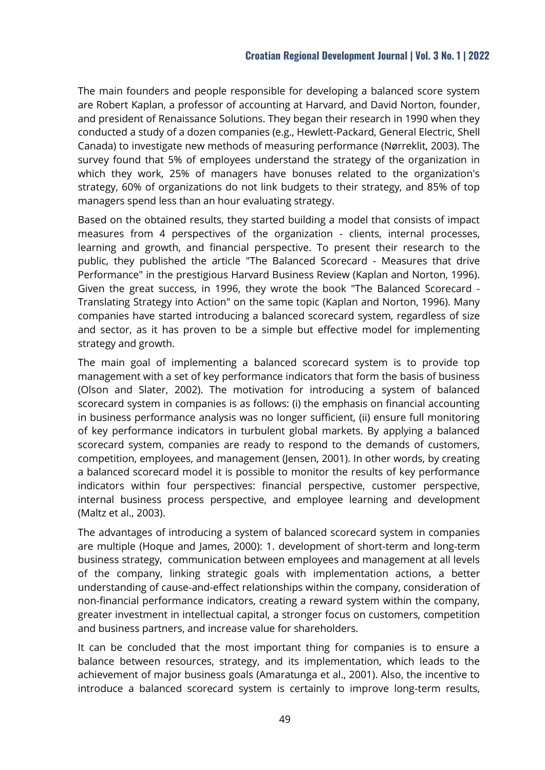The main founders and people responsible for developing a balanced score system are Robert Kaplan, a professor of accounting at Harvard, and David Norton, founder, and president of Renaissance Solutions. They began their research in 1990 when they conducted a study of a dozen companies (e.g., Hewlett-Packard, General Electric, Shell Canada) to investigate new methods of measuring performance (Nørreklit, 2003). The survey found that 5% of employees understand the strategy of the organization in which they work, 25% of managers have bonuses related to the organization's strategy, 60% of organizations do not link budgets to their strategy, and 85% of top managers spend less than an hour evaluating strategy.

Based on the obtained results, they started building a model that consists of impact measures from 4 perspectives of the organization - clients, internal processes, learning and growth, and financial perspective. To present their research to the public, they published the article "The Balanced Scorecard - Measures that drive Performance" in the prestigious Harvard Business Review (Kaplan and Norton, 1996). Given the great success, in 1996, they wrote the book "The Balanced Scorecard - Translating Strategy into Action" on the same topic (Kaplan and Norton, 1996). Many companies have started introducing a balanced scorecard system, regardless of size and sector, as it has proven to be a simple but effective model for implementing strategy and growth.

The main goal of implementing a balanced scorecard system is to provide top management with a set of key performance indicators that form the basis of business (Olson and Slater, 2002). The motivation for introducing a system of balanced scorecard system in companies is as follows: (i) the emphasis on financial accounting in business performance analysis was no longer sufficient, (ii) ensure full monitoring of key performance indicators in turbulent global markets. By applying a balanced scorecard system, companies are ready to respond to the demands of customers, competition, employees, and management (Jensen, 2001). In other words, by creating a balanced scorecard model it is possible to monitor the results of key performance indicators within four perspectives: financial perspective, customer perspective, internal business process perspective, and employee learning and development (Maltz et al., 2003).

The advantages of introducing a system of balanced scorecard system in companies are multiple (Hoque and James, 2000): 1. development of short-term and long-term business strategy, communication between employees and management at all levels of the company, linking strategic goals with implementation actions, a better understanding of cause-and-effect relationships within the company, consideration of non-financial performance indicators, creating a reward system within the company, greater investment in intellectual capital, a stronger focus on customers, competition and business partners, and increase value for shareholders.

It can be concluded that the most important thing for companies is to ensure a balance between resources, strategy, and its implementation, which leads to the achievement of major business goals (Amaratunga et al., 2001). Also, the incentive to introduce a balanced scorecard system is certainly to improve long-term results,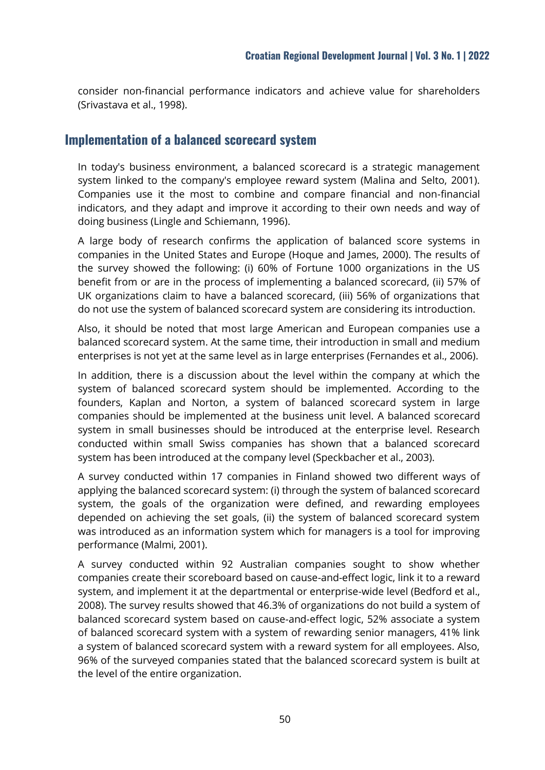consider non-financial performance indicators and achieve value for shareholders (Srivastava et al., 1998).

# **Implementation of a balanced scorecard system**

In today's business environment, a balanced scorecard is a strategic management system linked to the company's employee reward system (Malina and Selto, 2001). Companies use it the most to combine and compare financial and non-financial indicators, and they adapt and improve it according to their own needs and way of doing business (Lingle and Schiemann, 1996).

A large body of research confirms the application of balanced score systems in companies in the United States and Europe (Hoque and James, 2000). The results of the survey showed the following: (i) 60% of Fortune 1000 organizations in the US benefit from or are in the process of implementing a balanced scorecard, (ii) 57% of UK organizations claim to have a balanced scorecard, (iii) 56% of organizations that do not use the system of balanced scorecard system are considering its introduction.

Also, it should be noted that most large American and European companies use a balanced scorecard system. At the same time, their introduction in small and medium enterprises is not yet at the same level as in large enterprises (Fernandes et al., 2006).

In addition, there is a discussion about the level within the company at which the system of balanced scorecard system should be implemented. According to the founders, Kaplan and Norton, a system of balanced scorecard system in large companies should be implemented at the business unit level. A balanced scorecard system in small businesses should be introduced at the enterprise level. Research conducted within small Swiss companies has shown that a balanced scorecard system has been introduced at the company level (Speckbacher et al., 2003).

A survey conducted within 17 companies in Finland showed two different ways of applying the balanced scorecard system: (i) through the system of balanced scorecard system, the goals of the organization were defined, and rewarding employees depended on achieving the set goals, (ii) the system of balanced scorecard system was introduced as an information system which for managers is a tool for improving performance (Malmi, 2001).

A survey conducted within 92 Australian companies sought to show whether companies create their scoreboard based on cause-and-effect logic, link it to a reward system, and implement it at the departmental or enterprise-wide level (Bedford et al., 2008). The survey results showed that 46.3% of organizations do not build a system of balanced scorecard system based on cause-and-effect logic, 52% associate a system of balanced scorecard system with a system of rewarding senior managers, 41% link a system of balanced scorecard system with a reward system for all employees. Also, 96% of the surveyed companies stated that the balanced scorecard system is built at the level of the entire organization.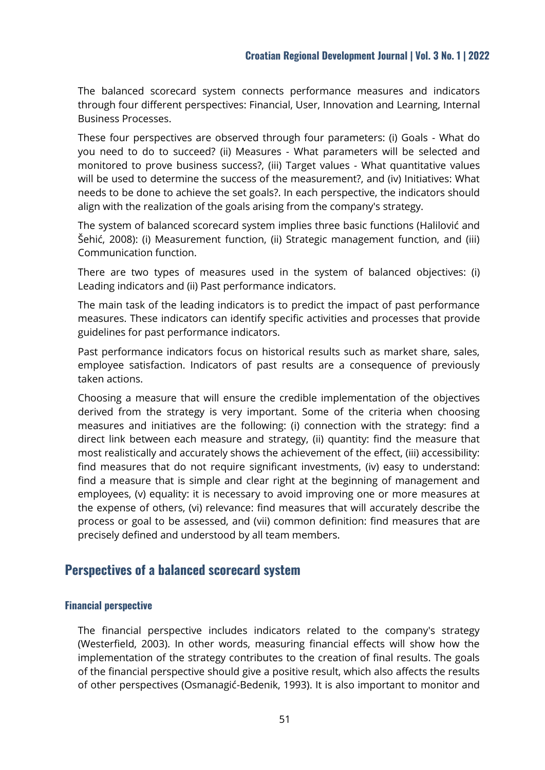The balanced scorecard system connects performance measures and indicators through four different perspectives: Financial, User, Innovation and Learning, Internal Business Processes.

These four perspectives are observed through four parameters: (i) Goals - What do you need to do to succeed? (ii) Measures - What parameters will be selected and monitored to prove business success?, (iii) Target values - What quantitative values will be used to determine the success of the measurement?, and (iv) Initiatives: What needs to be done to achieve the set goals?. In each perspective, the indicators should align with the realization of the goals arising from the company's strategy.

The system of balanced scorecard system implies three basic functions (Halilović and Šehić, 2008): (i) Measurement function, (ii) Strategic management function, and (iii) Communication function.

There are two types of measures used in the system of balanced objectives: (i) Leading indicators and (ii) Past performance indicators.

The main task of the leading indicators is to predict the impact of past performance measures. These indicators can identify specific activities and processes that provide guidelines for past performance indicators.

Past performance indicators focus on historical results such as market share, sales, employee satisfaction. Indicators of past results are a consequence of previously taken actions.

Choosing a measure that will ensure the credible implementation of the objectives derived from the strategy is very important. Some of the criteria when choosing measures and initiatives are the following: (i) connection with the strategy: find a direct link between each measure and strategy, (ii) quantity: find the measure that most realistically and accurately shows the achievement of the effect, (iii) accessibility: find measures that do not require significant investments, (iv) easy to understand: find a measure that is simple and clear right at the beginning of management and employees, (v) equality: it is necessary to avoid improving one or more measures at the expense of others, (vi) relevance: find measures that will accurately describe the process or goal to be assessed, and (vii) common definition: find measures that are precisely defined and understood by all team members.

# **Perspectives of a balanced scorecard system**

## **Financial perspective**

The financial perspective includes indicators related to the company's strategy (Westerfield, 2003). In other words, measuring financial effects will show how the implementation of the strategy contributes to the creation of final results. The goals of the financial perspective should give a positive result, which also affects the results of other perspectives (Osmanagić-Bedenik, 1993). It is also important to monitor and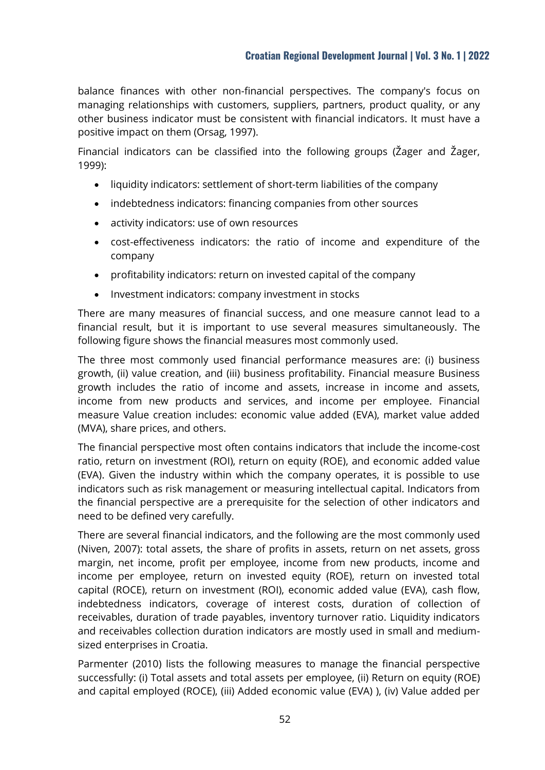balance finances with other non-financial perspectives. The company's focus on managing relationships with customers, suppliers, partners, product quality, or any other business indicator must be consistent with financial indicators. It must have a positive impact on them (Orsag, 1997).

Financial indicators can be classified into the following groups (Žager and Žager, 1999):

- liquidity indicators: settlement of short-term liabilities of the company
- indebtedness indicators: financing companies from other sources
- activity indicators: use of own resources
- cost-effectiveness indicators: the ratio of income and expenditure of the company
- profitability indicators: return on invested capital of the company
- Investment indicators: company investment in stocks

There are many measures of financial success, and one measure cannot lead to a financial result, but it is important to use several measures simultaneously. The following figure shows the financial measures most commonly used.

The three most commonly used financial performance measures are: (i) business growth, (ii) value creation, and (iii) business profitability. Financial measure Business growth includes the ratio of income and assets, increase in income and assets, income from new products and services, and income per employee. Financial measure Value creation includes: economic value added (EVA), market value added (MVA), share prices, and others.

The financial perspective most often contains indicators that include the income-cost ratio, return on investment (ROI), return on equity (ROE), and economic added value (EVA). Given the industry within which the company operates, it is possible to use indicators such as risk management or measuring intellectual capital. Indicators from the financial perspective are a prerequisite for the selection of other indicators and need to be defined very carefully.

There are several financial indicators, and the following are the most commonly used (Niven, 2007): total assets, the share of profits in assets, return on net assets, gross margin, net income, profit per employee, income from new products, income and income per employee, return on invested equity (ROE), return on invested total capital (ROCE), return on investment (ROI), economic added value (EVA), cash flow, indebtedness indicators, coverage of interest costs, duration of collection of receivables, duration of trade payables, inventory turnover ratio. Liquidity indicators and receivables collection duration indicators are mostly used in small and mediumsized enterprises in Croatia.

Parmenter (2010) lists the following measures to manage the financial perspective successfully: (i) Total assets and total assets per employee, (ii) Return on equity (ROE) and capital employed (ROCE), (iii) Added economic value (EVA) ), (iv) Value added per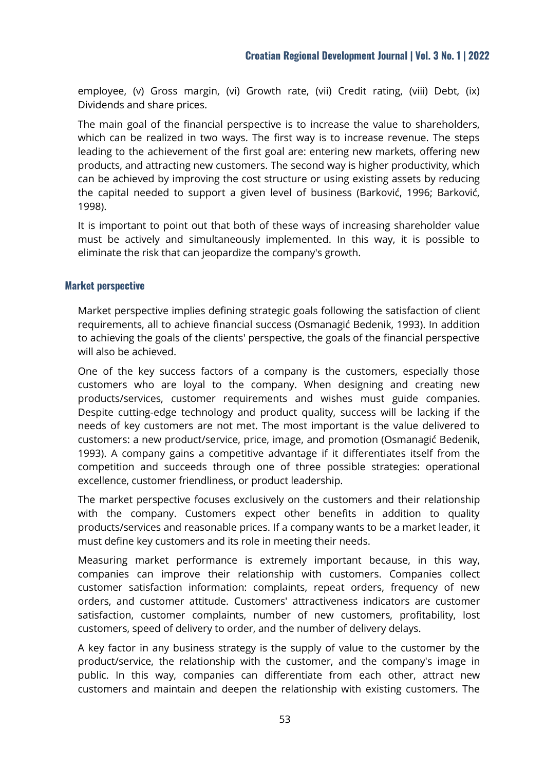employee, (v) Gross margin, (vi) Growth rate, (vii) Credit rating, (viii) Debt, (ix) Dividends and share prices.

The main goal of the financial perspective is to increase the value to shareholders, which can be realized in two ways. The first way is to increase revenue. The steps leading to the achievement of the first goal are: entering new markets, offering new products, and attracting new customers. The second way is higher productivity, which can be achieved by improving the cost structure or using existing assets by reducing the capital needed to support a given level of business (Barković, 1996; Barković, 1998).

It is important to point out that both of these ways of increasing shareholder value must be actively and simultaneously implemented. In this way, it is possible to eliminate the risk that can jeopardize the company's growth.

## **Market perspective**

Market perspective implies defining strategic goals following the satisfaction of client requirements, all to achieve financial success (Osmanagić Bedenik, 1993). In addition to achieving the goals of the clients' perspective, the goals of the financial perspective will also be achieved.

One of the key success factors of a company is the customers, especially those customers who are loyal to the company. When designing and creating new products/services, customer requirements and wishes must guide companies. Despite cutting-edge technology and product quality, success will be lacking if the needs of key customers are not met. The most important is the value delivered to customers: a new product/service, price, image, and promotion (Osmanagić Bedenik, 1993). A company gains a competitive advantage if it differentiates itself from the competition and succeeds through one of three possible strategies: operational excellence, customer friendliness, or product leadership.

The market perspective focuses exclusively on the customers and their relationship with the company. Customers expect other benefits in addition to quality products/services and reasonable prices. If a company wants to be a market leader, it must define key customers and its role in meeting their needs.

Measuring market performance is extremely important because, in this way, companies can improve their relationship with customers. Companies collect customer satisfaction information: complaints, repeat orders, frequency of new orders, and customer attitude. Customers' attractiveness indicators are customer satisfaction, customer complaints, number of new customers, profitability, lost customers, speed of delivery to order, and the number of delivery delays.

A key factor in any business strategy is the supply of value to the customer by the product/service, the relationship with the customer, and the company's image in public. In this way, companies can differentiate from each other, attract new customers and maintain and deepen the relationship with existing customers. The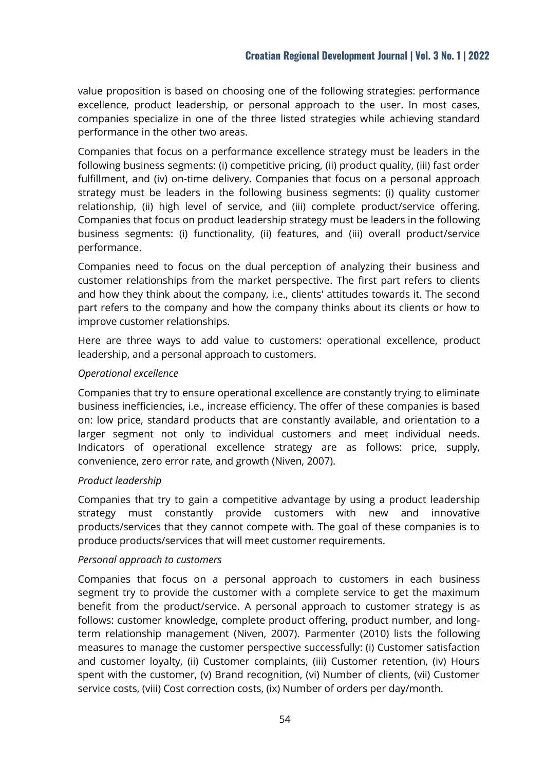value proposition is based on choosing one of the following strategies: performance excellence, product leadership, or personal approach to the user. In most cases, companies specialize in one of the three listed strategies while achieving standard performance in the other two areas.

Companies that focus on a performance excellence strategy must be leaders in the following business segments: (i) competitive pricing, (ii) product quality, (iii) fast order fulfillment, and (iv) on-time delivery. Companies that focus on a personal approach strategy must be leaders in the following business segments: (i) quality customer relationship, (ii) high level of service, and (iii) complete product/service offering. Companies that focus on product leadership strategy must be leaders in the following business segments: (i) functionality, (ii) features, and (iii) overall product/service performance.

Companies need to focus on the dual perception of analyzing their business and customer relationships from the market perspective. The first part refers to clients and how they think about the company, i.e., clients' attitudes towards it. The second part refers to the company and how the company thinks about its clients or how to improve customer relationships.

Here are three ways to add value to customers: operational excellence, product leadership, and a personal approach to customers.

# *Operational excellence*

Companies that try to ensure operational excellence are constantly trying to eliminate business inefficiencies, i.e., increase efficiency. The offer of these companies is based on: low price, standard products that are constantly available, and orientation to a larger segment not only to individual customers and meet individual needs. Indicators of operational excellence strategy are as follows: price, supply, convenience, zero error rate, and growth (Niven, 2007).

## *Product leadership*

Companies that try to gain a competitive advantage by using a product leadership strategy must constantly provide customers with new and innovative products/services that they cannot compete with. The goal of these companies is to produce products/services that will meet customer requirements.

## *Personal approach to customers*

Companies that focus on a personal approach to customers in each business segment try to provide the customer with a complete service to get the maximum benefit from the product/service. A personal approach to customer strategy is as follows: customer knowledge, complete product offering, product number, and longterm relationship management (Niven, 2007). Parmenter (2010) lists the following measures to manage the customer perspective successfully: (i) Customer satisfaction and customer loyalty, (ii) Customer complaints, (iii) Customer retention, (iv) Hours spent with the customer, (v) Brand recognition, (vi) Number of clients, (vii) Customer service costs, (viii) Cost correction costs, (ix) Number of orders per day/month.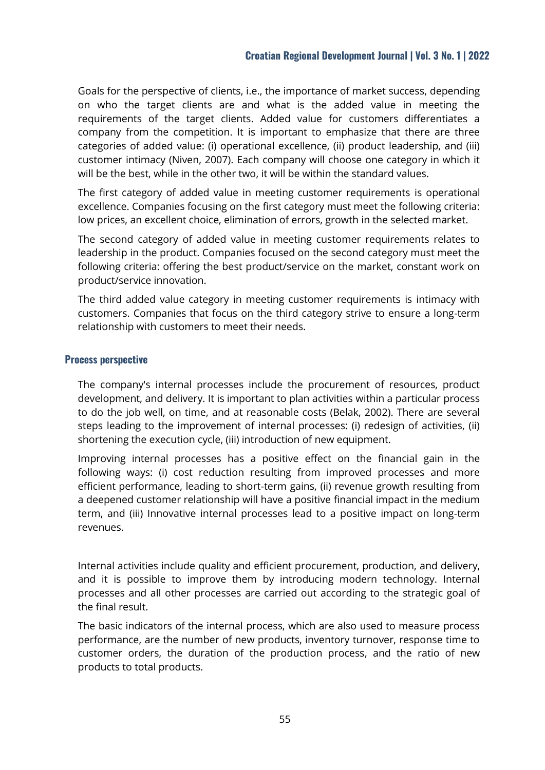Goals for the perspective of clients, i.e., the importance of market success, depending on who the target clients are and what is the added value in meeting the requirements of the target clients. Added value for customers differentiates a company from the competition. It is important to emphasize that there are three categories of added value: (i) operational excellence, (ii) product leadership, and (iii) customer intimacy (Niven, 2007). Each company will choose one category in which it will be the best, while in the other two, it will be within the standard values.

The first category of added value in meeting customer requirements is operational excellence. Companies focusing on the first category must meet the following criteria: low prices, an excellent choice, elimination of errors, growth in the selected market.

The second category of added value in meeting customer requirements relates to leadership in the product. Companies focused on the second category must meet the following criteria: offering the best product/service on the market, constant work on product/service innovation.

The third added value category in meeting customer requirements is intimacy with customers. Companies that focus on the third category strive to ensure a long-term relationship with customers to meet their needs.

# **Process perspective**

The company's internal processes include the procurement of resources, product development, and delivery. It is important to plan activities within a particular process to do the job well, on time, and at reasonable costs (Belak, 2002). There are several steps leading to the improvement of internal processes: (i) redesign of activities, (ii) shortening the execution cycle, (iii) introduction of new equipment.

Improving internal processes has a positive effect on the financial gain in the following ways: (i) cost reduction resulting from improved processes and more efficient performance, leading to short-term gains, (ii) revenue growth resulting from a deepened customer relationship will have a positive financial impact in the medium term, and (iii) Innovative internal processes lead to a positive impact on long-term revenues.

Internal activities include quality and efficient procurement, production, and delivery, and it is possible to improve them by introducing modern technology. Internal processes and all other processes are carried out according to the strategic goal of the final result.

The basic indicators of the internal process, which are also used to measure process performance, are the number of new products, inventory turnover, response time to customer orders, the duration of the production process, and the ratio of new products to total products.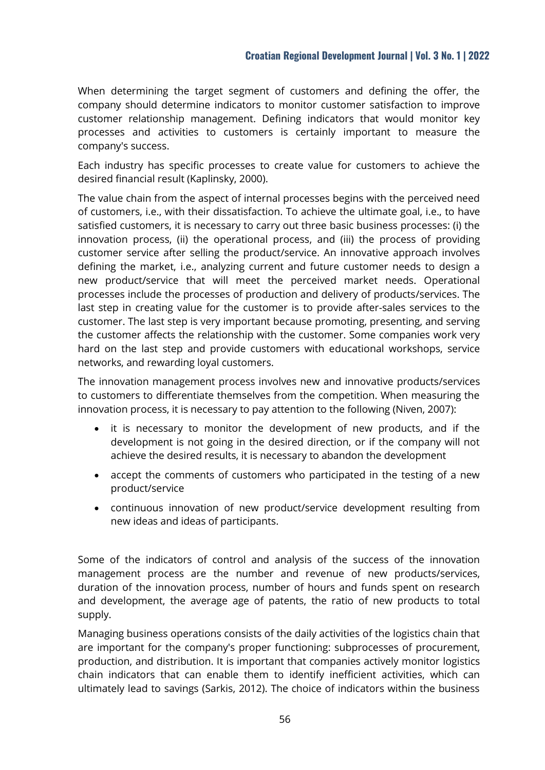When determining the target segment of customers and defining the offer, the company should determine indicators to monitor customer satisfaction to improve customer relationship management. Defining indicators that would monitor key processes and activities to customers is certainly important to measure the company's success.

Each industry has specific processes to create value for customers to achieve the desired financial result (Kaplinsky, 2000).

The value chain from the aspect of internal processes begins with the perceived need of customers, i.e., with their dissatisfaction. To achieve the ultimate goal, i.e., to have satisfied customers, it is necessary to carry out three basic business processes: (i) the innovation process, (ii) the operational process, and (iii) the process of providing customer service after selling the product/service. An innovative approach involves defining the market, i.e., analyzing current and future customer needs to design a new product/service that will meet the perceived market needs. Operational processes include the processes of production and delivery of products/services. The last step in creating value for the customer is to provide after-sales services to the customer. The last step is very important because promoting, presenting, and serving the customer affects the relationship with the customer. Some companies work very hard on the last step and provide customers with educational workshops, service networks, and rewarding loyal customers.

The innovation management process involves new and innovative products/services to customers to differentiate themselves from the competition. When measuring the innovation process, it is necessary to pay attention to the following (Niven, 2007):

- it is necessary to monitor the development of new products, and if the development is not going in the desired direction, or if the company will not achieve the desired results, it is necessary to abandon the development
- accept the comments of customers who participated in the testing of a new product/service
- continuous innovation of new product/service development resulting from new ideas and ideas of participants.

Some of the indicators of control and analysis of the success of the innovation management process are the number and revenue of new products/services, duration of the innovation process, number of hours and funds spent on research and development, the average age of patents, the ratio of new products to total supply.

Managing business operations consists of the daily activities of the logistics chain that are important for the company's proper functioning: subprocesses of procurement, production, and distribution. It is important that companies actively monitor logistics chain indicators that can enable them to identify inefficient activities, which can ultimately lead to savings (Sarkis, 2012). The choice of indicators within the business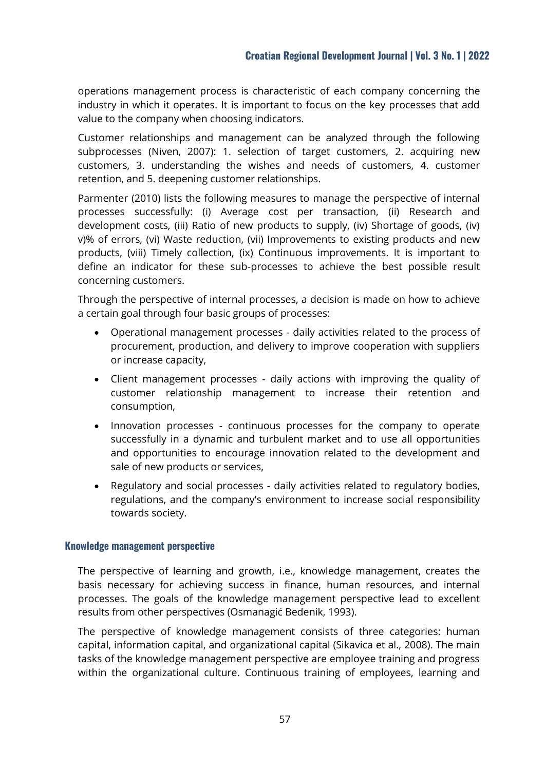operations management process is characteristic of each company concerning the industry in which it operates. It is important to focus on the key processes that add value to the company when choosing indicators.

Customer relationships and management can be analyzed through the following subprocesses (Niven, 2007): 1. selection of target customers, 2. acquiring new customers, 3. understanding the wishes and needs of customers, 4. customer retention, and 5. deepening customer relationships.

Parmenter (2010) lists the following measures to manage the perspective of internal processes successfully: (i) Average cost per transaction, (ii) Research and development costs, (iii) Ratio of new products to supply, (iv) Shortage of goods, (iv) v)% of errors, (vi) Waste reduction, (vii) Improvements to existing products and new products, (viii) Timely collection, (ix) Continuous improvements. It is important to define an indicator for these sub-processes to achieve the best possible result concerning customers.

Through the perspective of internal processes, a decision is made on how to achieve a certain goal through four basic groups of processes:

- Operational management processes daily activities related to the process of procurement, production, and delivery to improve cooperation with suppliers or increase capacity,
- Client management processes daily actions with improving the quality of customer relationship management to increase their retention and consumption,
- Innovation processes continuous processes for the company to operate successfully in a dynamic and turbulent market and to use all opportunities and opportunities to encourage innovation related to the development and sale of new products or services,
- Regulatory and social processes daily activities related to regulatory bodies, regulations, and the company's environment to increase social responsibility towards society.

#### **Knowledge management perspective**

The perspective of learning and growth, i.e., knowledge management, creates the basis necessary for achieving success in finance, human resources, and internal processes. The goals of the knowledge management perspective lead to excellent results from other perspectives (Osmanagić Bedenik, 1993).

The perspective of knowledge management consists of three categories: human capital, information capital, and organizational capital (Sikavica et al., 2008). The main tasks of the knowledge management perspective are employee training and progress within the organizational culture. Continuous training of employees, learning and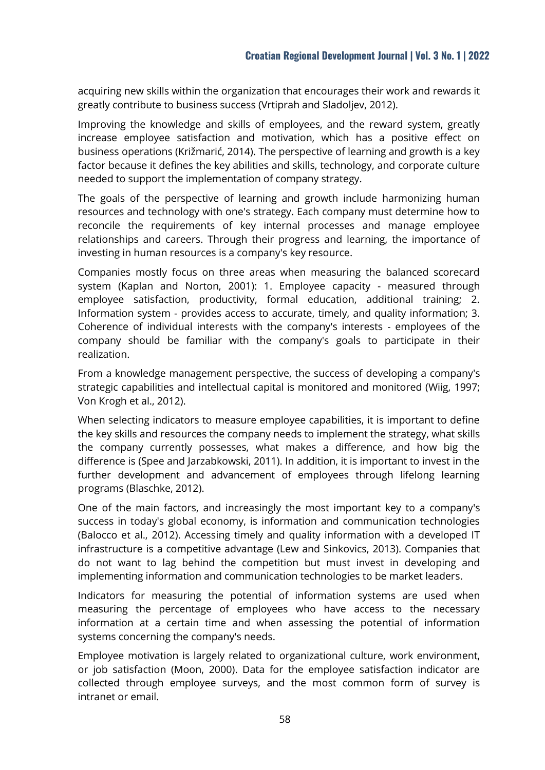acquiring new skills within the organization that encourages their work and rewards it greatly contribute to business success (Vrtiprah and Sladoljev, 2012).

Improving the knowledge and skills of employees, and the reward system, greatly increase employee satisfaction and motivation, which has a positive effect on business operations (Križmarić, 2014). The perspective of learning and growth is a key factor because it defines the key abilities and skills, technology, and corporate culture needed to support the implementation of company strategy.

The goals of the perspective of learning and growth include harmonizing human resources and technology with one's strategy. Each company must determine how to reconcile the requirements of key internal processes and manage employee relationships and careers. Through their progress and learning, the importance of investing in human resources is a company's key resource.

Companies mostly focus on three areas when measuring the balanced scorecard system (Kaplan and Norton, 2001): 1. Employee capacity - measured through employee satisfaction, productivity, formal education, additional training; 2. Information system - provides access to accurate, timely, and quality information; 3. Coherence of individual interests with the company's interests - employees of the company should be familiar with the company's goals to participate in their realization.

From a knowledge management perspective, the success of developing a company's strategic capabilities and intellectual capital is monitored and monitored (Wiig, 1997; Von Krogh et al., 2012).

When selecting indicators to measure employee capabilities, it is important to define the key skills and resources the company needs to implement the strategy, what skills the company currently possesses, what makes a difference, and how big the difference is (Spee and Jarzabkowski, 2011). In addition, it is important to invest in the further development and advancement of employees through lifelong learning programs (Blaschke, 2012).

One of the main factors, and increasingly the most important key to a company's success in today's global economy, is information and communication technologies (Balocco et al., 2012). Accessing timely and quality information with a developed IT infrastructure is a competitive advantage (Lew and Sinkovics, 2013). Companies that do not want to lag behind the competition but must invest in developing and implementing information and communication technologies to be market leaders.

Indicators for measuring the potential of information systems are used when measuring the percentage of employees who have access to the necessary information at a certain time and when assessing the potential of information systems concerning the company's needs.

Employee motivation is largely related to organizational culture, work environment, or job satisfaction (Moon, 2000). Data for the employee satisfaction indicator are collected through employee surveys, and the most common form of survey is intranet or email.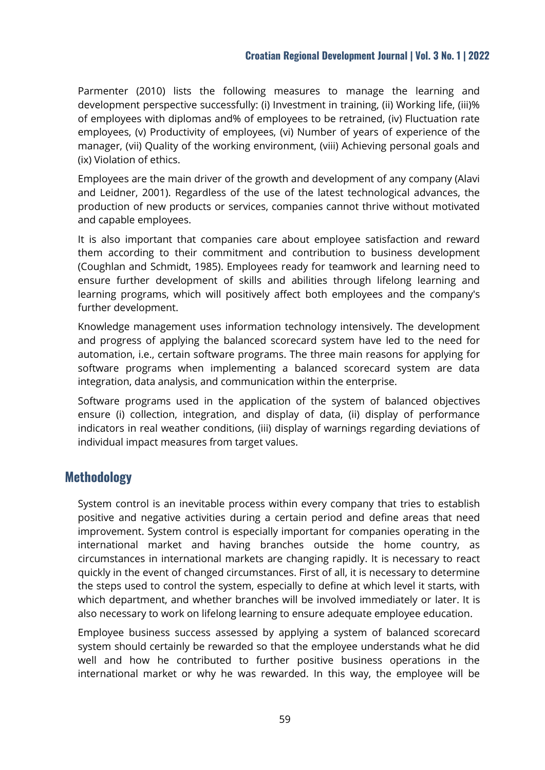Parmenter (2010) lists the following measures to manage the learning and development perspective successfully: (i) Investment in training, (ii) Working life, (iii)% of employees with diplomas and% of employees to be retrained, (iv) Fluctuation rate employees, (v) Productivity of employees, (vi) Number of years of experience of the manager, (vii) Quality of the working environment, (viii) Achieving personal goals and (ix) Violation of ethics.

Employees are the main driver of the growth and development of any company (Alavi and Leidner, 2001). Regardless of the use of the latest technological advances, the production of new products or services, companies cannot thrive without motivated and capable employees.

It is also important that companies care about employee satisfaction and reward them according to their commitment and contribution to business development (Coughlan and Schmidt, 1985). Employees ready for teamwork and learning need to ensure further development of skills and abilities through lifelong learning and learning programs, which will positively affect both employees and the company's further development.

Knowledge management uses information technology intensively. The development and progress of applying the balanced scorecard system have led to the need for automation, i.e., certain software programs. The three main reasons for applying for software programs when implementing a balanced scorecard system are data integration, data analysis, and communication within the enterprise.

Software programs used in the application of the system of balanced objectives ensure (i) collection, integration, and display of data, (ii) display of performance indicators in real weather conditions, (iii) display of warnings regarding deviations of individual impact measures from target values.

# **Methodology**

System control is an inevitable process within every company that tries to establish positive and negative activities during a certain period and define areas that need improvement. System control is especially important for companies operating in the international market and having branches outside the home country, as circumstances in international markets are changing rapidly. It is necessary to react quickly in the event of changed circumstances. First of all, it is necessary to determine the steps used to control the system, especially to define at which level it starts, with which department, and whether branches will be involved immediately or later. It is also necessary to work on lifelong learning to ensure adequate employee education.

Employee business success assessed by applying a system of balanced scorecard system should certainly be rewarded so that the employee understands what he did well and how he contributed to further positive business operations in the international market or why he was rewarded. In this way, the employee will be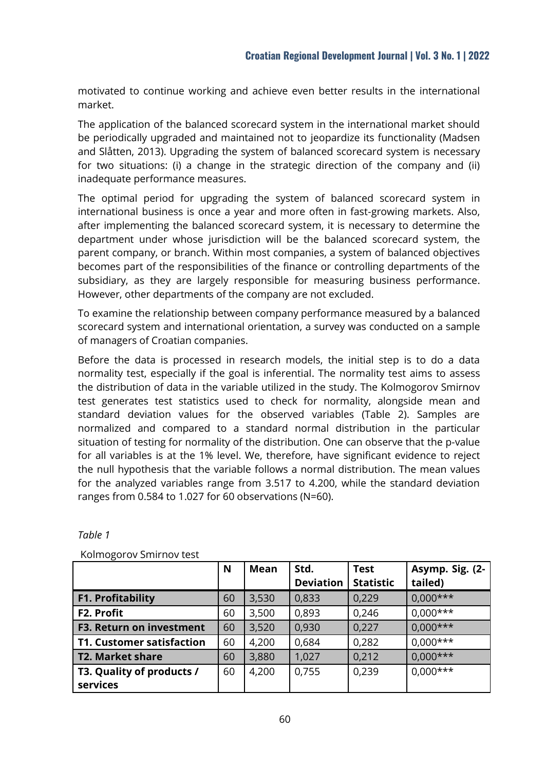motivated to continue working and achieve even better results in the international market.

The application of the balanced scorecard system in the international market should be periodically upgraded and maintained not to jeopardize its functionality (Madsen and Slåtten, 2013). Upgrading the system of balanced scorecard system is necessary for two situations: (i) a change in the strategic direction of the company and (ii) inadequate performance measures.

The optimal period for upgrading the system of balanced scorecard system in international business is once a year and more often in fast-growing markets. Also, after implementing the balanced scorecard system, it is necessary to determine the department under whose jurisdiction will be the balanced scorecard system, the parent company, or branch. Within most companies, a system of balanced objectives becomes part of the responsibilities of the finance or controlling departments of the subsidiary, as they are largely responsible for measuring business performance. However, other departments of the company are not excluded.

To examine the relationship between company performance measured by a balanced scorecard system and international orientation, a survey was conducted on a sample of managers of Croatian companies.

Before the data is processed in research models, the initial step is to do a data normality test, especially if the goal is inferential. The normality test aims to assess the distribution of data in the variable utilized in the study. The Kolmogorov Smirnov test generates test statistics used to check for normality, alongside mean and standard deviation values for the observed variables (Table 2). Samples are normalized and compared to a standard normal distribution in the particular situation of testing for normality of the distribution. One can observe that the p-value for all variables is at the 1% level. We, therefore, have significant evidence to reject the null hypothesis that the variable follows a normal distribution. The mean values for the analyzed variables range from 3.517 to 4.200, while the standard deviation ranges from 0.584 to 1.027 for 60 observations (N=60).

| <b>AVOITTUACLOY SITIITTUV LUSE</b> |    |             |                  |                  |                 |
|------------------------------------|----|-------------|------------------|------------------|-----------------|
|                                    | N  | <b>Mean</b> | Std.             | <b>Test</b>      | Asymp. Sig. (2- |
|                                    |    |             | <b>Deviation</b> | <b>Statistic</b> | tailed)         |
| <b>F1. Profitability</b>           | 60 | 3,530       | 0,833            | 0,229            | $0,000***$      |
| F2. Profit                         | 60 | 3,500       | 0,893            | 0,246            | $0,000***$      |
| <b>F3. Return on investment</b>    | 60 | 3,520       | 0,930            | 0,227            | $0,000***$      |
| <b>T1. Customer satisfaction</b>   | 60 | 4,200       | 0,684            | 0,282            | $0,000***$      |
| <b>T2. Market share</b>            | 60 | 3,880       | 1,027            | 0,212            | $0,000***$      |
| T3. Quality of products /          | 60 | 4,200       | 0,755            | 0,239            | $0,000***$      |
| services                           |    |             |                  |                  |                 |

*Table 1*

Kolmogorov Smirnov test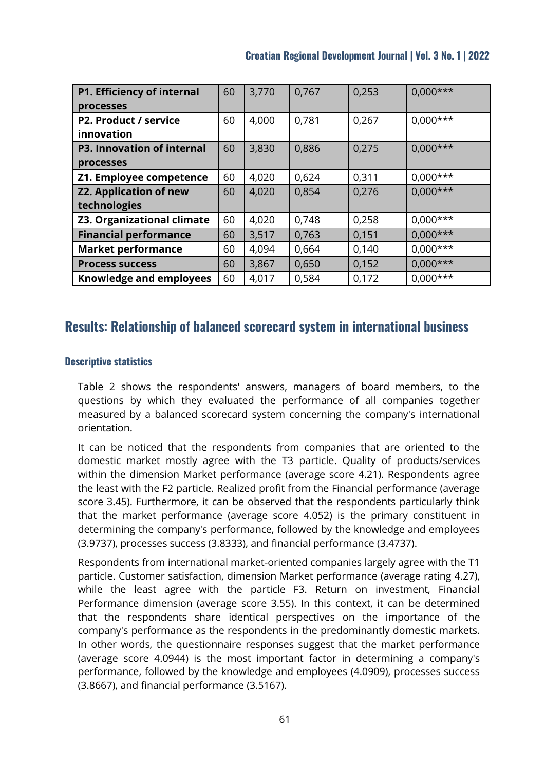| P1. Efficiency of internal<br>processes        | 60 | 3,770 | 0,767 | 0,253 | $0,000***$ |
|------------------------------------------------|----|-------|-------|-------|------------|
| P2. Product / service<br>innovation            | 60 | 4,000 | 0,781 | 0,267 | $0,000***$ |
| <b>P3. Innovation of internal</b><br>processes | 60 | 3,830 | 0,886 | 0,275 | $0,000***$ |
| Z1. Employee competence                        | 60 | 4,020 | 0,624 | 0,311 | $0,000***$ |
| <b>Z2. Application of new</b><br>technologies  | 60 | 4,020 | 0,854 | 0,276 | $0,000***$ |
| <b>Z3. Organizational climate</b>              | 60 | 4,020 | 0,748 | 0,258 | $0,000***$ |
| <b>Financial performance</b>                   | 60 | 3,517 | 0,763 | 0,151 | $0,000***$ |
| <b>Market performance</b>                      | 60 | 4,094 | 0,664 | 0,140 | $0,000***$ |
| <b>Process success</b>                         | 60 | 3,867 | 0,650 | 0,152 | $0,000***$ |
| <b>Knowledge and employees</b>                 | 60 | 4,017 | 0,584 | 0,172 | $0,000***$ |

# **Results: Relationship of balanced scorecard system in international business**

# **Descriptive statistics**

Table 2 shows the respondents' answers, managers of board members, to the questions by which they evaluated the performance of all companies together measured by a balanced scorecard system concerning the company's international orientation.

It can be noticed that the respondents from companies that are oriented to the domestic market mostly agree with the T3 particle. Quality of products/services within the dimension Market performance (average score 4.21). Respondents agree the least with the F2 particle. Realized profit from the Financial performance (average score 3.45). Furthermore, it can be observed that the respondents particularly think that the market performance (average score 4.052) is the primary constituent in determining the company's performance, followed by the knowledge and employees (3.9737), processes success (3.8333), and financial performance (3.4737).

Respondents from international market-oriented companies largely agree with the T1 particle. Customer satisfaction, dimension Market performance (average rating 4.27), while the least agree with the particle F3. Return on investment, Financial Performance dimension (average score 3.55). In this context, it can be determined that the respondents share identical perspectives on the importance of the company's performance as the respondents in the predominantly domestic markets. In other words, the questionnaire responses suggest that the market performance (average score 4.0944) is the most important factor in determining a company's performance, followed by the knowledge and employees (4.0909), processes success (3.8667), and financial performance (3.5167).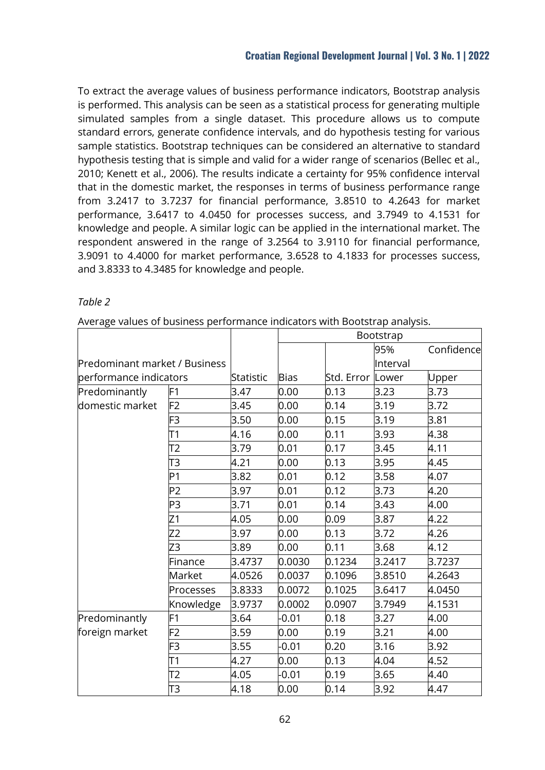To extract the average values of business performance indicators, Bootstrap analysis is performed. This analysis can be seen as a statistical process for generating multiple simulated samples from a single dataset. This procedure allows us to compute standard errors, generate confidence intervals, and do hypothesis testing for various sample statistics. Bootstrap techniques can be considered an alternative to standard hypothesis testing that is simple and valid for a wider range of scenarios (Bellec et al., 2010; Kenett et al., 2006). The results indicate a certainty for 95% confidence interval that in the domestic market, the responses in terms of business performance range from 3.2417 to 3.7237 for financial performance, 3.8510 to 4.2643 for market performance, 3.6417 to 4.0450 for processes success, and 3.7949 to 4.1531 for knowledge and people. A similar logic can be applied in the international market. The respondent answered in the range of 3.2564 to 3.9110 for financial performance, 3.9091 to 4.4000 for market performance, 3.6528 to 4.1833 for processes success, and 3.8333 to 4.3485 for knowledge and people.

# *Table 2*

|  | Average values of business performance indicators with Bootstrap analysis. |  |  |  |  |  |
|--|----------------------------------------------------------------------------|--|--|--|--|--|
|--|----------------------------------------------------------------------------|--|--|--|--|--|

|                               |                |           |             |                  | Bootstrap |            |
|-------------------------------|----------------|-----------|-------------|------------------|-----------|------------|
|                               |                |           |             |                  | 95%       | Confidence |
| Predominant market / Business |                |           |             |                  | Interval  |            |
| performance indicators        |                | Statistic | <b>Bias</b> | Std. Error Lower |           | Upper      |
| Predominantly                 | F1             | 3.47      | 0.00        | 0.13             | 3.23      | 3.73       |
| domestic market               | F <sub>2</sub> | 3.45      | 0.00        | 0.14             | 3.19      | 3.72       |
|                               | F3             | 3.50      | 0.00        | 0.15             | 3.19      | 3.81       |
|                               | T1             | 4.16      | 0.00        | 0.11             | 3.93      | 4.38       |
|                               | T2             | 3.79      | 0.01        | 0.17             | 3.45      | 4.11       |
|                               | T3             | 4.21      | 0.00        | 0.13             | 3.95      | 4.45       |
|                               | P <sub>1</sub> | 3.82      | 0.01        | 0.12             | 3.58      | 4.07       |
|                               | P <sub>2</sub> | 3.97      | 0.01        | 0.12             | 3.73      | 4.20       |
|                               | P3             | 3.71      | 0.01        | 0.14             | 3.43      | 4.00       |
|                               | Z1             | 4.05      | 0.00        | 0.09             | 3.87      | 4.22       |
|                               | $Z^2$          | 3.97      | 0.00        | 0.13             | 3.72      | 4.26       |
|                               | Z3             | 3.89      | 0.00        | 0.11             | 3.68      | 4.12       |
|                               | Finance        | 3.4737    | 0.0030      | 0.1234           | 3.2417    | 3.7237     |
|                               | Market         | 4.0526    | 0.0037      | 0.1096           | 3.8510    | 4.2643     |
|                               | Processes      | 3.8333    | 0.0072      | 0.1025           | 3.6417    | 4.0450     |
|                               | Knowledge      | 3.9737    | 0.0002      | 0.0907           | 3.7949    | 4.1531     |
| Predominantly                 | F1             | 3.64      | $-0.01$     | 0.18             | 3.27      | 4.00       |
| foreign market                | F <sub>2</sub> | 3.59      | 0.00        | 0.19             | 3.21      | 4.00       |
|                               | F3             | 3.55      | $-0.01$     | 0.20             | 3.16      | 3.92       |
|                               | T1             | 4.27      | 0.00        | 0.13             | 4.04      | 4.52       |
|                               | T2             | 4.05      | $-0.01$     | 0.19             | 3.65      | 4.40       |
|                               | T3             | 4.18      | 0.00        | 0.14             | 3.92      | 4.47       |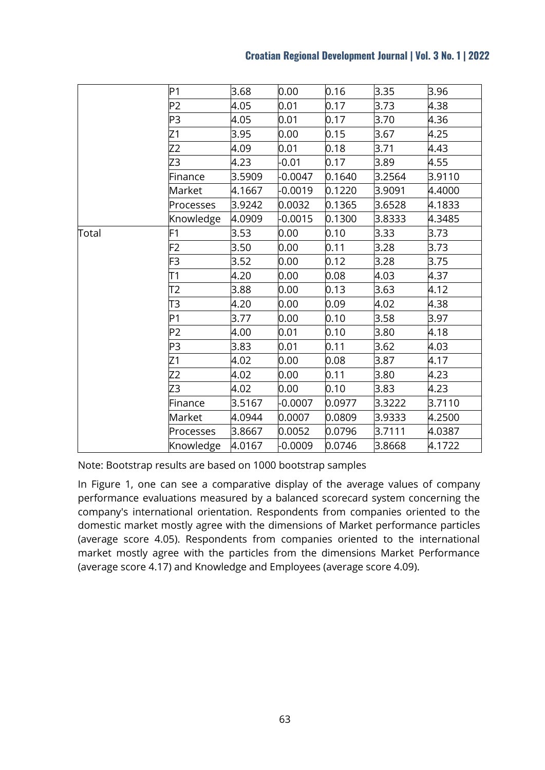|  | <b>Croatian Regional Development Journal   Vol. 3 No. 1   2022</b> |  |  |
|--|--------------------------------------------------------------------|--|--|
|--|--------------------------------------------------------------------|--|--|

|       | P <sub>1</sub> | 3.68   | 0.00      | 0.16   | 3.35   | 3.96   |
|-------|----------------|--------|-----------|--------|--------|--------|
|       | P <sub>2</sub> | 4.05   | 0.01      | 0.17   | 3.73   | 4.38   |
|       | P3             | 4.05   | 0.01      | 0.17   | 3.70   | 4.36   |
|       | Z1             | 3.95   | 0.00      | 0.15   | 3.67   | 4.25   |
|       | Z <sub>2</sub> | 4.09   | 0.01      | 0.18   | 3.71   | 4.43   |
|       | Z3             | 4.23   | $-0.01$   | 0.17   | 3.89   | 4.55   |
|       | Finance        | 3.5909 | $-0.0047$ | 0.1640 | 3.2564 | 3.9110 |
|       | Market         | 4.1667 | $-0.0019$ | 0.1220 | 3.9091 | 4.4000 |
|       | Processes      | 3.9242 | 0.0032    | 0.1365 | 3.6528 | 4.1833 |
|       | Knowledge      | 4.0909 | $-0.0015$ | 0.1300 | 3.8333 | 4.3485 |
| Total | F1             | 3.53   | 0.00      | 0.10   | 3.33   | 3.73   |
|       | F <sub>2</sub> | 3.50   | 0.00      | 0.11   | 3.28   | 3.73   |
|       | F <sub>3</sub> | 3.52   | 0.00      | 0.12   | 3.28   | 3.75   |
|       | T1             | 4.20   | 0.00      | 0.08   | 4.03   | 4.37   |
|       | T2             | 3.88   | 0.00      | 0.13   | 3.63   | 4.12   |
|       | T3             | 4.20   | 0.00      | 0.09   | 4.02   | 4.38   |
|       | P <sub>1</sub> | 3.77   | 0.00      | 0.10   | 3.58   | 3.97   |
|       | P <sub>2</sub> | 4.00   | 0.01      | 0.10   | 3.80   | 4.18   |
|       | P3             | 3.83   | 0.01      | 0.11   | 3.62   | 4.03   |
|       | Z1             | 4.02   | 0.00      | 0.08   | 3.87   | 4.17   |
|       | Z2             | 4.02   | 0.00      | 0.11   | 3.80   | 4.23   |
|       | Z3             | 4.02   | 0.00      | 0.10   | 3.83   | 4.23   |
|       | Finance        | 3.5167 | $-0.0007$ | 0.0977 | 3.3222 | 3.7110 |
|       | Market         | 4.0944 | 0.0007    | 0.0809 | 3.9333 | 4.2500 |
|       | Processes      | 3.8667 | 0.0052    | 0.0796 | 3.7111 | 4.0387 |
|       | Knowledge      | 4.0167 | $-0.0009$ | 0.0746 | 3.8668 | 4.1722 |

Note: Bootstrap results are based on 1000 bootstrap samples

In Figure 1, one can see a comparative display of the average values of company performance evaluations measured by a balanced scorecard system concerning the company's international orientation. Respondents from companies oriented to the domestic market mostly agree with the dimensions of Market performance particles (average score 4.05). Respondents from companies oriented to the international market mostly agree with the particles from the dimensions Market Performance (average score 4.17) and Knowledge and Employees (average score 4.09).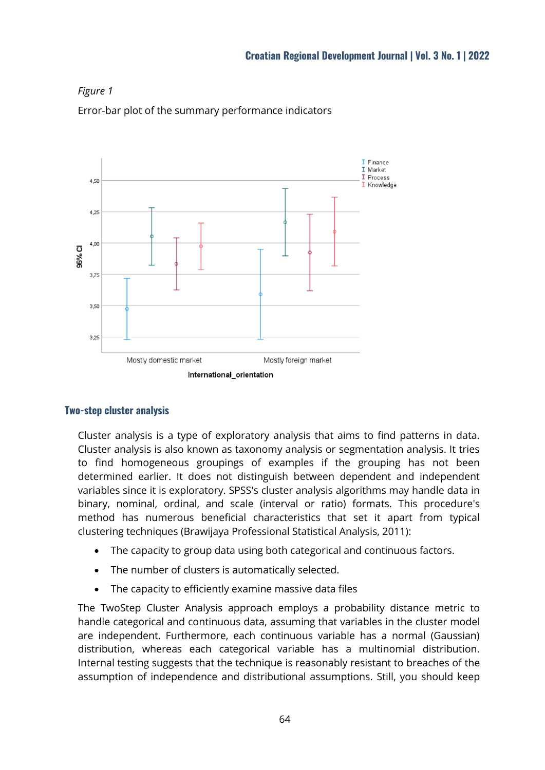

Error-bar plot of the summary performance indicators



## **Two-step cluster analysis**

Cluster analysis is a type of exploratory analysis that aims to find patterns in data. Cluster analysis is also known as taxonomy analysis or segmentation analysis. It tries to find homogeneous groupings of examples if the grouping has not been determined earlier. It does not distinguish between dependent and independent variables since it is exploratory. SPSS's cluster analysis algorithms may handle data in binary, nominal, ordinal, and scale (interval or ratio) formats. This procedure's method has numerous beneficial characteristics that set it apart from typical clustering techniques (Brawijaya Professional Statistical Analysis, 2011):

- The capacity to group data using both categorical and continuous factors.
- The number of clusters is automatically selected.
- The capacity to efficiently examine massive data files

The TwoStep Cluster Analysis approach employs a probability distance metric to handle categorical and continuous data, assuming that variables in the cluster model are independent. Furthermore, each continuous variable has a normal (Gaussian) distribution, whereas each categorical variable has a multinomial distribution. Internal testing suggests that the technique is reasonably resistant to breaches of the assumption of independence and distributional assumptions. Still, you should keep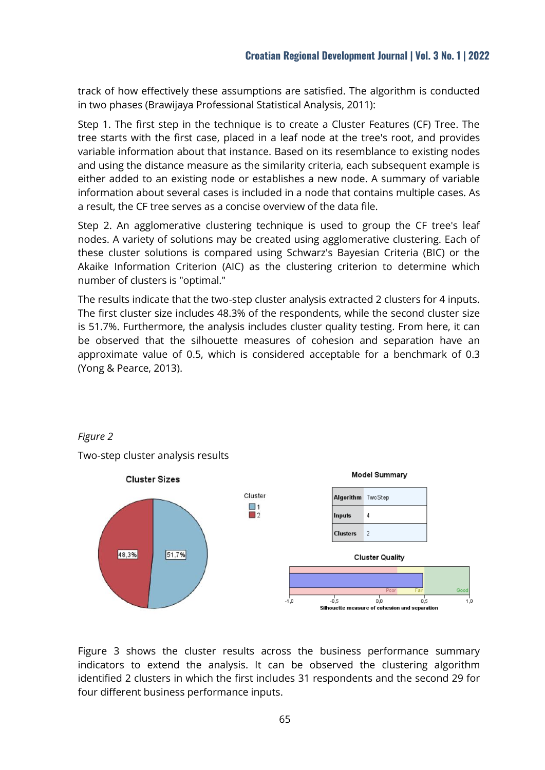track of how effectively these assumptions are satisfied. The algorithm is conducted in two phases (Brawijaya Professional Statistical Analysis, 2011):

Step 1. The first step in the technique is to create a Cluster Features (CF) Tree. The tree starts with the first case, placed in a leaf node at the tree's root, and provides variable information about that instance. Based on its resemblance to existing nodes and using the distance measure as the similarity criteria, each subsequent example is either added to an existing node or establishes a new node. A summary of variable information about several cases is included in a node that contains multiple cases. As a result, the CF tree serves as a concise overview of the data file.

Step 2. An agglomerative clustering technique is used to group the CF tree's leaf nodes. A variety of solutions may be created using agglomerative clustering. Each of these cluster solutions is compared using Schwarz's Bayesian Criteria (BIC) or the Akaike Information Criterion (AIC) as the clustering criterion to determine which number of clusters is "optimal."

The results indicate that the two-step cluster analysis extracted 2 clusters for 4 inputs. The first cluster size includes 48.3% of the respondents, while the second cluster size is 51.7%. Furthermore, the analysis includes cluster quality testing. From here, it can be observed that the silhouette measures of cohesion and separation have an approximate value of 0.5, which is considered acceptable for a benchmark of 0.3 (Yong & Pearce, 2013).



*Figure 2*

Two-step cluster analysis results

Figure 3 shows the cluster results across the business performance summary indicators to extend the analysis. It can be observed the clustering algorithm identified 2 clusters in which the first includes 31 respondents and the second 29 for four different business performance inputs.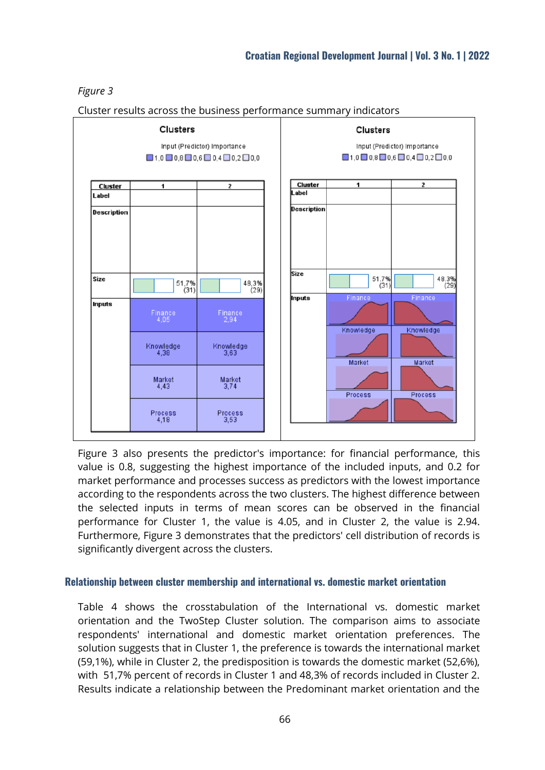# *Figure 3*



Cluster results across the business performance summary indicators

Figure 3 also presents the predictor's importance: for financial performance, this value is 0.8, suggesting the highest importance of the included inputs, and 0.2 for market performance and processes success as predictors with the lowest importance according to the respondents across the two clusters. The highest difference between the selected inputs in terms of mean scores can be observed in the financial performance for Cluster 1, the value is 4.05, and in Cluster 2, the value is 2.94. Furthermore, Figure 3 demonstrates that the predictors' cell distribution of records is significantly divergent across the clusters.

## **Relationship between cluster membership and international vs. domestic market orientation**

Table 4 shows the crosstabulation of the International vs. domestic market orientation and the TwoStep Cluster solution. The comparison aims to associate respondents' international and domestic market orientation preferences. The solution suggests that in Cluster 1, the preference is towards the international market (59,1%), while in Cluster 2, the predisposition is towards the domestic market (52,6%), with 51,7% percent of records in Cluster 1 and 48,3% of records included in Cluster 2. Results indicate a relationship between the Predominant market orientation and the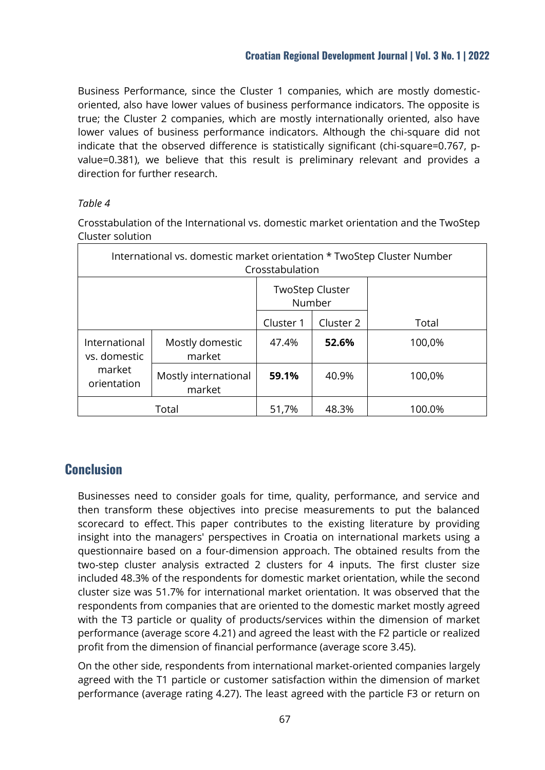Business Performance, since the Cluster 1 companies, which are mostly domesticoriented, also have lower values of business performance indicators. The opposite is true; the Cluster 2 companies, which are mostly internationally oriented, also have lower values of business performance indicators. Although the chi-square did not indicate that the observed difference is statistically significant (chi-square=0.767, pvalue=0.381), we believe that this result is preliminary relevant and provides a direction for further research.

# *Table 4*

Crosstabulation of the International vs. domestic market orientation and the TwoStep Cluster solution

| International vs. domestic market orientation * TwoStep Cluster Number<br>Crosstabulation |                                |           |                                  |        |  |  |
|-------------------------------------------------------------------------------------------|--------------------------------|-----------|----------------------------------|--------|--|--|
|                                                                                           |                                |           | <b>TwoStep Cluster</b><br>Number |        |  |  |
|                                                                                           |                                | Cluster 1 | Cluster 2                        | Total  |  |  |
| International<br>vs. domestic                                                             | Mostly domestic<br>market      | 47.4%     | 52.6%                            | 100,0% |  |  |
| market<br>orientation                                                                     | Mostly international<br>market | 59.1%     | 40.9%                            | 100,0% |  |  |
| Total                                                                                     |                                | 51,7%     | 48.3%                            | 100.0% |  |  |

# **Conclusion**

Businesses need to consider goals for time, quality, performance, and service and then transform these objectives into precise measurements to put the balanced scorecard to effect. This paper contributes to the existing literature by providing insight into the managers' perspectives in Croatia on international markets using a questionnaire based on a four-dimension approach. The obtained results from the two-step cluster analysis extracted 2 clusters for 4 inputs. The first cluster size included 48.3% of the respondents for domestic market orientation, while the second cluster size was 51.7% for international market orientation. It was observed that the respondents from companies that are oriented to the domestic market mostly agreed with the T3 particle or quality of products/services within the dimension of market performance (average score 4.21) and agreed the least with the F2 particle or realized profit from the dimension of financial performance (average score 3.45).

On the other side, respondents from international market-oriented companies largely agreed with the T1 particle or customer satisfaction within the dimension of market performance (average rating 4.27). The least agreed with the particle F3 or return on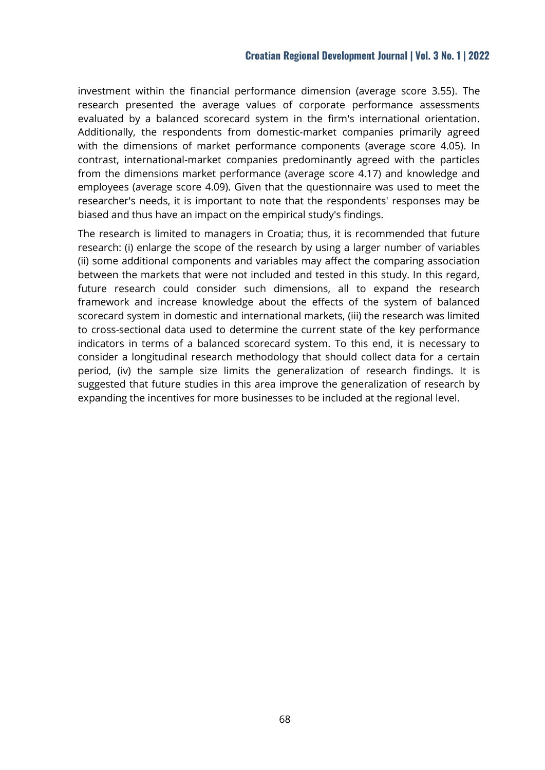### **Croatian Regional Development Journal | Vol. 3 No. 1 | 2022**

investment within the financial performance dimension (average score 3.55). The research presented the average values of corporate performance assessments evaluated by a balanced scorecard system in the firm's international orientation. Additionally, the respondents from domestic-market companies primarily agreed with the dimensions of market performance components (average score 4.05). In contrast, international-market companies predominantly agreed with the particles from the dimensions market performance (average score 4.17) and knowledge and employees (average score 4.09). Given that the questionnaire was used to meet the researcher's needs, it is important to note that the respondents' responses may be biased and thus have an impact on the empirical study's findings.

The research is limited to managers in Croatia; thus, it is recommended that future research: (i) enlarge the scope of the research by using a larger number of variables (ii) some additional components and variables may affect the comparing association between the markets that were not included and tested in this study. In this regard, future research could consider such dimensions, all to expand the research framework and increase knowledge about the effects of the system of balanced scorecard system in domestic and international markets, (iii) the research was limited to cross-sectional data used to determine the current state of the key performance indicators in terms of a balanced scorecard system. To this end, it is necessary to consider a longitudinal research methodology that should collect data for a certain period, (iv) the sample size limits the generalization of research findings. It is suggested that future studies in this area improve the generalization of research by expanding the incentives for more businesses to be included at the regional level.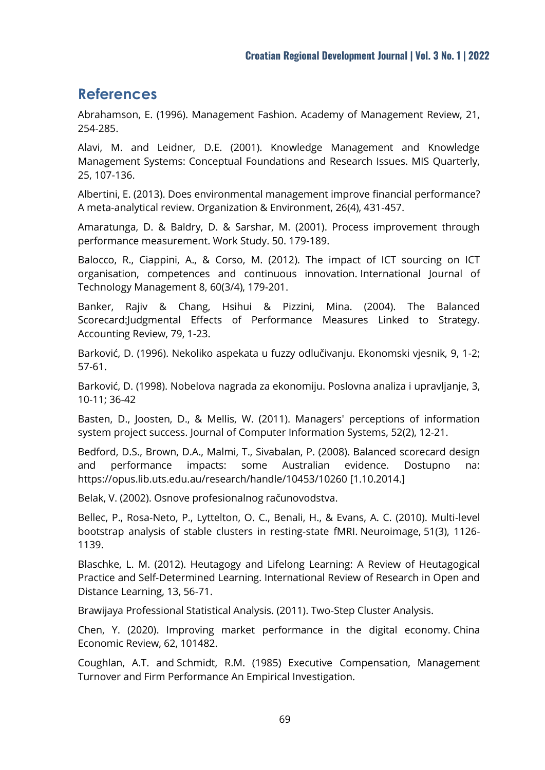# **References**

Abrahamson, E. (1996). Management Fashion. Academy of Management Review, 21, 254-285.

Alavi, M. and Leidner, D.E. (2001). Knowledge Management and Knowledge Management Systems: Conceptual Foundations and Research Issues. MIS Quarterly, 25, 107-136.

Albertini, E. (2013). Does environmental management improve financial performance? A meta-analytical review. Organization & Environment, 26(4), 431-457.

Amaratunga, D. & Baldry, D. & Sarshar, M. (2001). Process improvement through performance measurement. Work Study. 50. 179-189.

Balocco, R., Ciappini, A., & Corso, M. (2012). The impact of ICT sourcing on ICT organisation, competences and continuous innovation. International Journal of Technology Management 8, 60(3/4), 179-201.

Banker, Rajiv & Chang, Hsihui & Pizzini, Mina. (2004). The Balanced Scorecard:Judgmental Effects of Performance Measures Linked to Strategy. Accounting Review, 79, 1-23.

Barković, D. (1996). Nekoliko aspekata u fuzzy odlučivanju. Ekonomski vjesnik, 9, 1-2; 57-61.

Barković, D. (1998). Nobelova nagrada za ekonomiju. Poslovna analiza i upravljanje, 3, 10-11; 36-42

Basten, D., Joosten, D., & Mellis, W. (2011). Managers' perceptions of information system project success. Journal of Computer Information Systems, 52(2), 12-21.

Bedford, D.S., Brown, D.A., Malmi, T., Sivabalan, P. (2008). Balanced scorecard design and performance impacts: some Australian evidence. Dostupno na: <https://opus.lib.uts.edu.au/research/handle/10453/10260> [1.10.2014.]

Belak, V. (2002). Osnove profesionalnog računovodstva.

Bellec, P., Rosa-Neto, P., Lyttelton, O. C., Benali, H., & Evans, A. C. (2010). Multi-level bootstrap analysis of stable clusters in resting-state fMRI. Neuroimage, 51(3), 1126- 1139.

Blaschke, L. M. (2012). Heutagogy and Lifelong Learning: A Review of Heutagogical Practice and Self-Determined Learning. International Review of Research in Open and Distance Learning, 13, 56-71.

Brawijaya Professional Statistical Analysis. (2011). Two-Step Cluster Analysis.

Chen, Y. (2020). Improving market performance in the digital economy. China Economic Review, 62, 101482.

Coughlan, A.T. and Schmidt, R.M. (1985) Executive Compensation, Management Turnover and Firm Performance An Empirical Investigation.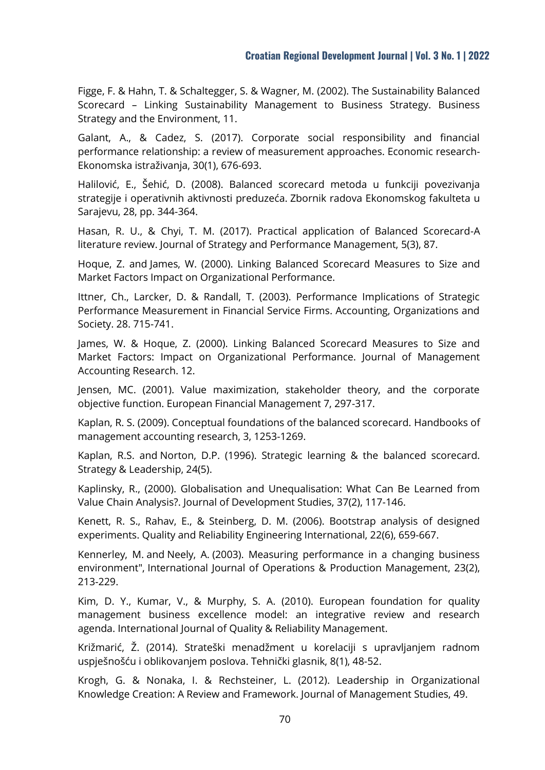Figge, F. & Hahn, T. & Schaltegger, S. & Wagner, M. (2002). The Sustainability Balanced Scorecard – Linking Sustainability Management to Business Strategy. Business Strategy and the Environment, 11.

Galant, A., & Cadez, S. (2017). Corporate social responsibility and financial performance relationship: a review of measurement approaches. Economic research-Ekonomska istraživanja, 30(1), 676-693.

Halilović, E., Šehić, D. (2008). Balanced scorecard metoda u funkciji povezivanja strategije i operativnih aktivnosti preduzeća. Zbornik radova Ekonomskog fakulteta u Sarajevu, 28, pp. 344-364.

Hasan, R. U., & Chyi, T. M. (2017). Practical application of Balanced Scorecard-A literature review. Journal of Strategy and Performance Management, 5(3), 87.

Hoque, Z. and James, W. (2000). Linking Balanced Scorecard Measures to Size and Market Factors Impact on Organizational Performance.

Ittner, Ch., Larcker, D. & Randall, T. (2003). Performance Implications of Strategic Performance Measurement in Financial Service Firms. Accounting, Organizations and Society. 28. 715-741.

James, W. & Hoque, Z. (2000). Linking Balanced Scorecard Measures to Size and Market Factors: Impact on Organizational Performance. Journal of Management Accounting Research. 12.

Jensen, MC. (2001). Value maximization, stakeholder theory, and the corporate objective function. European Financial Management 7, 297-317.

Kaplan, R. S. (2009). Conceptual foundations of the balanced scorecard. Handbooks of management accounting research, 3, 1253-1269.

Kaplan, R.S. and Norton, D.P. (1996). Strategic learning & the balanced scorecard. Strategy & Leadership, 24(5).

Kaplinsky, R., (2000). [Globalisation and Unequalisation: What Can Be Learned from](https://econpapers.repec.org/RePEc:taf:jdevst:v:37:y:2000:i:2:p:117-146)  [Value Chain Analysis?.](https://econpapers.repec.org/RePEc:taf:jdevst:v:37:y:2000:i:2:p:117-146) Journal of Development Studies, 37(2), 117-146.

Kenett, R. S., Rahav, E., & Steinberg, D. M. (2006). Bootstrap analysis of designed experiments. Quality and Reliability Engineering International, 22(6), 659-667.

[Kennerley, M.](https://www-emerald-com.ezproxy.nsk.hr/insight/search?q=Mike%20Kennerley) and [Neely, A.](https://www-emerald-com.ezproxy.nsk.hr/insight/search?q=Andy%20Neely) (2003). Measuring performance in a changing business environment", [International Journal of Operations & Production Management,](https://www-emerald-com.ezproxy.nsk.hr/insight/publication/issn/0144-3577) 23(2), 213-229.

Kim, D. Y., Kumar, V., & Murphy, S. A. (2010). European foundation for quality management business excellence model: an integrative review and research agenda. International Journal of Quality & Reliability Management.

Križmarić, Ž. (2014). Strateški menadžment u korelaciji s upravljanjem radnom uspješnošću i oblikovanjem poslova. Tehnički glasnik, 8(1), 48-52.

Krogh, G. & Nonaka, I. & Rechsteiner, L. (2012). Leadership in Organizational Knowledge Creation: A Review and Framework. Journal of Management Studies, 49.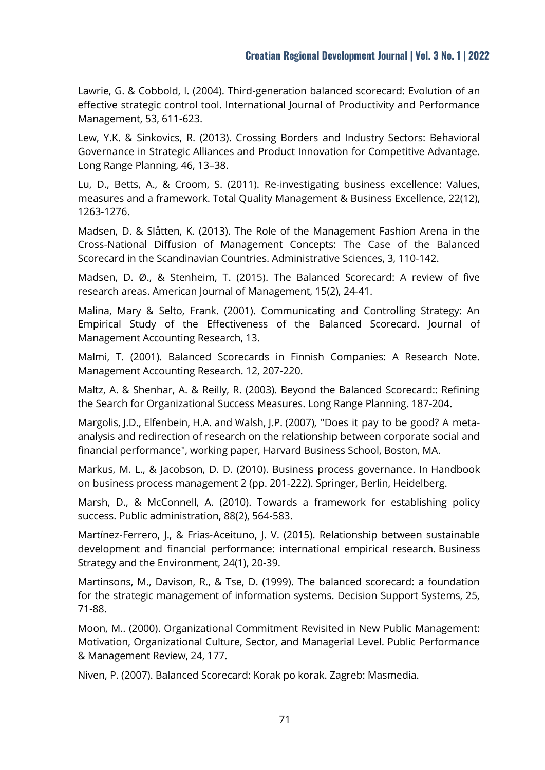Lawrie, G. & Cobbold, I. (2004). Third-generation balanced scorecard: Evolution of an effective strategic control tool. International Journal of Productivity and Performance Management, 53, 611-623.

Lew, Y.K. & Sinkovics, R. (2013). Crossing Borders and Industry Sectors: Behavioral Governance in Strategic Alliances and Product Innovation for Competitive Advantage. Long Range Planning, 46, 13–38.

Lu, D., Betts, A., & Croom, S. (2011). Re-investigating business excellence: Values, measures and a framework. Total Quality Management & Business Excellence, 22(12), 1263-1276.

Madsen, D. & Slåtten, K. (2013). The Role of the Management Fashion Arena in the Cross-National Diffusion of Management Concepts: The Case of the Balanced Scorecard in the Scandinavian Countries. Administrative Sciences, 3, 110-142.

Madsen, D. Ø., & Stenheim, T. (2015). The Balanced Scorecard: A review of five research areas. American Journal of Management, 15(2), 24-41.

Malina, Mary & Selto, Frank. (2001). Communicating and Controlling Strategy: An Empirical Study of the Effectiveness of the Balanced Scorecard. Journal of Management Accounting Research, 13.

Malmi, T. (2001). Balanced Scorecards in Finnish Companies: A Research Note. Management Accounting Research. 12, 207-220.

Maltz, A. & Shenhar, A. & Reilly, R. (2003). Beyond the Balanced Scorecard:: Refining the Search for Organizational Success Measures. Long Range Planning. 187-204.

Margolis, J.D., Elfenbein, H.A. and Walsh, J.P. (2007), "Does it pay to be good? A meta‐ analysis and redirection of research on the relationship between corporate social and financial performance", working paper, Harvard Business School, Boston, MA.

Markus, M. L., & Jacobson, D. D. (2010). Business process governance. In Handbook on business process management 2 (pp. 201-222). Springer, Berlin, Heidelberg.

Marsh, D., & McConnell, A. (2010). Towards a framework for establishing policy success. Public administration, 88(2), 564-583.

Martínez‐Ferrero, J., & Frias‐Aceituno, J. V. (2015). Relationship between sustainable development and financial performance: international empirical research. Business Strategy and the Environment, 24(1), 20-39.

Martinsons, M., Davison, R., & Tse, D. (1999). The balanced scorecard: a foundation for the strategic management of information systems. Decision Support Systems, 25, 71-88.

Moon, M.. (2000). Organizational Commitment Revisited in New Public Management: Motivation, Organizational Culture, Sector, and Managerial Level. Public Performance & Management Review, 24, 177.

Niven, P. (2007). Balanced Scorecard: Korak po korak. Zagreb: Masmedia.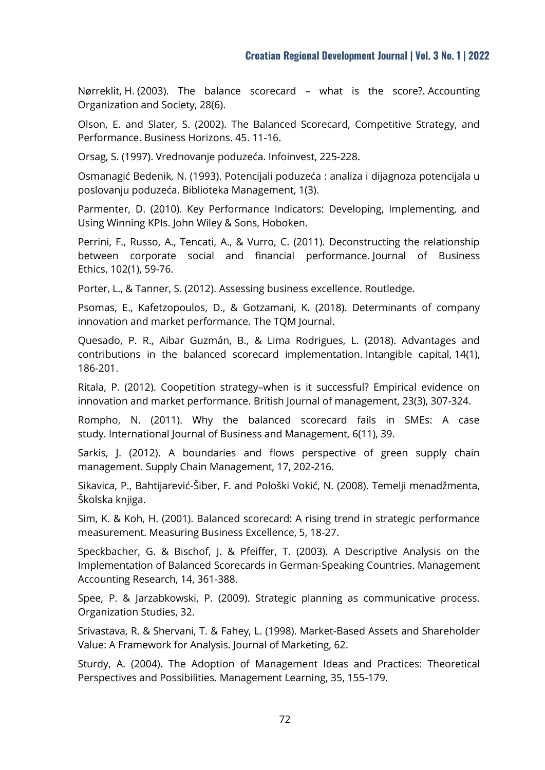Nørreklit, H. (2003). The balance scorecard – what is the score?. Accounting Organization and Society, 28(6).

Olson, E. and Slater, S. (2002). The Balanced Scorecard, Competitive Strategy, and Performance. Business Horizons. 45. 11-16.

Orsag, S. (1997). Vrednovanje poduzeća. [Infoinvest,](https://katalog.kgz.hr/pagesresults/rezultati.aspx?&searchById=1&age=0&spid0=1&spv0=&fid0=4&fv0=Infoinvest) 225-228.

Osmanagić Bedenik, N. (1993). Potencijali poduzeća : analiza i dijagnoza potencijala u poslovanju poduzeća. Biblioteka Management, 1(3).

Parmenter, D. (2010). Key Performance Indicators: Developing, Implementing, and Using Winning KPIs. John Wiley & Sons, Hoboken.

Perrini, F., Russo, A., Tencati, A., & Vurro, C. (2011). Deconstructing the relationship between corporate social and financial performance. Journal of Business Ethics, 102(1), 59-76.

Porter, L., & Tanner, S. (2012). Assessing business excellence. Routledge.

Psomas, E., Kafetzopoulos, D., & Gotzamani, K. (2018). Determinants of company innovation and market performance. The TQM Journal.

Quesado, P. R., Aibar Guzmán, B., & Lima Rodrigues, L. (2018). Advantages and contributions in the balanced scorecard implementation. Intangible capital, 14(1), 186-201.

Ritala, P. (2012). Coopetition strategy–when is it successful? Empirical evidence on innovation and market performance. British Journal of management, 23(3), 307-324.

Rompho, N. (2011). Why the balanced scorecard fails in SMEs: A case study. International Journal of Business and Management, 6(11), 39.

Sarkis, J. (2012). A boundaries and flows perspective of green supply chain management. Supply Chain Management, 17, 202-216.

Sikavica, P., Bahtijarević-Šiber, F. and Pološki Vokić, N. (2008). Temelji menadžmenta, Školska knjiga.

Sim, K. & Koh, H. (2001). Balanced scorecard: A rising trend in strategic performance measurement. Measuring Business Excellence, 5, 18-27.

Speckbacher, G. & Bischof, J. & Pfeiffer, T. (2003). A Descriptive Analysis on the Implementation of Balanced Scorecards in German-Speaking Countries. Management Accounting Research, 14, 361-388.

Spee, P. & Jarzabkowski, P. (2009). Strategic planning as communicative process. Organization Studies, 32.

Srivastava, R. & Shervani, T. & Fahey, L. (1998). Market-Based Assets and Shareholder Value: A Framework for Analysis. Journal of Marketing, 62.

Sturdy, A. (2004). The Adoption of Management Ideas and Practices: Theoretical Perspectives and Possibilities. Management Learning, 35, 155-179.